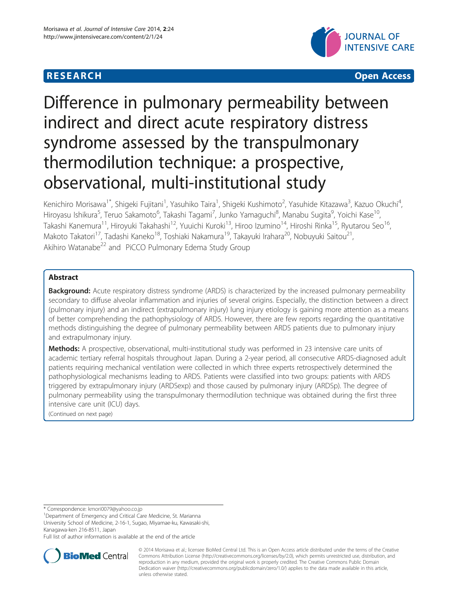## **RESEARCH CHEAR CHEAR CHEAR CHEAR CHEAR CHEAR CHEAR CHEAR CHEAR CHEAR CHEAR CHEAR CHEAR CHEAR CHEAR CHEAR CHEAR**



# Difference in pulmonary permeability between indirect and direct acute respiratory distress syndrome assessed by the transpulmonary thermodilution technique: a prospective, observational, multi-institutional study

Kenichiro Morisawa<sup>1\*</sup>, Shigeki Fujitani<sup>1</sup>, Yasuhiko Taira<sup>1</sup>, Shigeki Kushimoto<sup>2</sup>, Yasuhide Kitazawa<sup>3</sup>, Kazuo Okuchi<sup>4</sup> , Hiroyasu Ishikura<sup>5</sup>, Teruo Sakamoto<sup>6</sup>, Takashi Tagami<sup>7</sup>, Junko Yamaguchi<sup>8</sup>, Manabu Sugita<sup>9</sup>, Yoichi Kase<sup>10</sup>, Takashi Kanemura<sup>11</sup>, Hiroyuki Takahashi<sup>12</sup>, Yuuichi Kuroki<sup>13</sup>, Hiroo Izumino<sup>14</sup>, Hiroshi Rinka<sup>15</sup>, Ryutarou Seo<sup>16</sup>, Makoto Takatori<sup>17</sup>, Tadashi Kaneko<sup>18</sup>, Toshiaki Nakamura<sup>19</sup>, Takayuki Irahara<sup>20</sup>, Nobuyuki Saitou<sup>21</sup>, Akihiro Watanabe<sup>22</sup> and PiCCO Pulmonary Edema Study Group

## Abstract

**Background:** Acute respiratory distress syndrome (ARDS) is characterized by the increased pulmonary permeability secondary to diffuse alveolar inflammation and injuries of several origins. Especially, the distinction between a direct (pulmonary injury) and an indirect (extrapulmonary injury) lung injury etiology is gaining more attention as a means of better comprehending the pathophysiology of ARDS. However, there are few reports regarding the quantitative methods distinguishing the degree of pulmonary permeability between ARDS patients due to pulmonary injury and extrapulmonary injury.

Methods: A prospective, observational, multi-institutional study was performed in 23 intensive care units of academic tertiary referral hospitals throughout Japan. During a 2-year period, all consecutive ARDS-diagnosed adult patients requiring mechanical ventilation were collected in which three experts retrospectively determined the pathophysiological mechanisms leading to ARDS. Patients were classified into two groups: patients with ARDS triggered by extrapulmonary injury (ARDSexp) and those caused by pulmonary injury (ARDSp). The degree of pulmonary permeability using the transpulmonary thermodilution technique was obtained during the first three intensive care unit (ICU) days.

(Continued on next page)

\* Correspondence: [kmori0079@yahoo.co.jp](mailto:kmori0079@yahoo.co.jp) <sup>1</sup>

Department of Emergency and Critical Care Medicine, St. Marianna

University School of Medicine, 2-16-1, Sugao, Miyamae-ku, Kawasaki-shi, Kanagawa-ken 216-8511, Japan

Full list of author information is available at the end of the article



© 2014 Morisawa et al.; licensee BioMed Central Ltd. This is an Open Access article distributed under the terms of the Creative Commons Attribution License [\(http://creativecommons.org/licenses/by/2.0\)](http://creativecommons.org/licenses/by/2.0), which permits unrestricted use, distribution, and reproduction in any medium, provided the original work is properly credited. The Creative Commons Public Domain Dedication waiver [\(http://creativecommons.org/publicdomain/zero/1.0/](http://creativecommons.org/publicdomain/zero/1.0/)) applies to the data made available in this article, unless otherwise stated.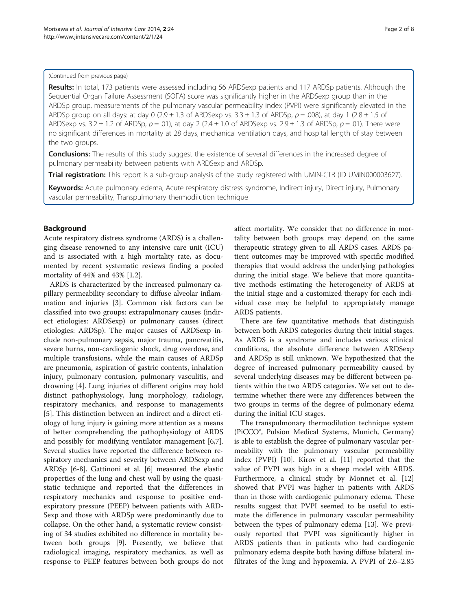### (Continued from previous page)

Results: In total, 173 patients were assessed including 56 ARDSexp patients and 117 ARDSp patients. Although the Sequential Organ Failure Assessment (SOFA) score was significantly higher in the ARDSexp group than in the ARDSp group, measurements of the pulmonary vascular permeability index (PVPI) were significantly elevated in the ARDSp group on all days: at day 0 (2.9  $\pm$  1.3 of ARDSexp vs. 3.3  $\pm$  1.3 of ARDSp,  $p = .008$ ), at day 1 (2.8  $\pm$  1.5 of ARDSexp vs. 3.2  $\pm$  1.2 of ARDSp,  $p = .01$ ), at day 2 (2.4  $\pm$  1.0 of ARDSexp vs. 2.9  $\pm$  1.3 of ARDSp,  $p = .01$ ). There were no significant differences in mortality at 28 days, mechanical ventilation days, and hospital length of stay between the two groups.

**Conclusions:** The results of this study suggest the existence of several differences in the increased degree of pulmonary permeability between patients with ARDSexp and ARDSp.

Trial registration: This report is a sub-group analysis of the study registered with UMIN-CTR ([ID UMIN000003627\)](http://apps.who.int/trialsearch/trial.aspx?trialid=JPRN-UMIN000003627).

Keywords: Acute pulmonary edema, Acute respiratory distress syndrome, Indirect injury, Direct injury, Pulmonary vascular permeability, Transpulmonary thermodilution technique

## Background

Acute respiratory distress syndrome (ARDS) is a challenging disease renowned to any intensive care unit (ICU) and is associated with a high mortality rate, as documented by recent systematic reviews finding a pooled mortality of 44% and 43% [\[1,2](#page-6-0)].

ARDS is characterized by the increased pulmonary capillary permeability secondary to diffuse alveolar inflammation and injuries [[3](#page-6-0)]. Common risk factors can be classified into two groups: extrapulmonary causes (indirect etiologies: ARDSexp) or pulmonary causes (direct etiologies: ARDSp). The major causes of ARDSexp include non-pulmonary sepsis, major trauma, pancreatitis, severe burns, non-cardiogenic shock, drug overdose, and multiple transfusions, while the main causes of ARDSp are pneumonia, aspiration of gastric contents, inhalation injury, pulmonary contusion, pulmonary vasculitis, and drowning [[4\]](#page-6-0). Lung injuries of different origins may hold distinct pathophysiology, lung morphology, radiology, respiratory mechanics, and response to managements [[5\]](#page-6-0). This distinction between an indirect and a direct etiology of lung injury is gaining more attention as a means of better comprehending the pathophysiology of ARDS and possibly for modifying ventilator management [\[6,7](#page-6-0)]. Several studies have reported the difference between respiratory mechanics and severity between ARDSexp and ARDSp [[6-8](#page-6-0)]. Gattinoni et al. [[6\]](#page-6-0) measured the elastic properties of the lung and chest wall by using the quasistatic technique and reported that the differences in respiratory mechanics and response to positive endexpiratory pressure (PEEP) between patients with ARD-Sexp and those with ARDSp were predominantly due to collapse. On the other hand, a systematic review consisting of 34 studies exhibited no difference in mortality between both groups [\[9](#page-6-0)]. Presently, we believe that radiological imaging, respiratory mechanics, as well as response to PEEP features between both groups do not affect mortality. We consider that no difference in mortality between both groups may depend on the same therapeutic strategy given to all ARDS cases. ARDS patient outcomes may be improved with specific modified therapies that would address the underlying pathologies during the initial stage. We believe that more quantitative methods estimating the heterogeneity of ARDS at the initial stage and a customized therapy for each individual case may be helpful to appropriately manage ARDS patients.

There are few quantitative methods that distinguish between both ARDS categories during their initial stages. As ARDS is a syndrome and includes various clinical conditions, the absolute difference between ARDSexp and ARDSp is still unknown. We hypothesized that the degree of increased pulmonary permeability caused by several underlying diseases may be different between patients within the two ARDS categories. We set out to determine whether there were any differences between the two groups in terms of the degree of pulmonary edema during the initial ICU stages.

The transpulmonary thermodilution technique system (PiCCO®, Pulsion Medical Systems, Munich, Germany) is able to establish the degree of pulmonary vascular permeability with the pulmonary vascular permeability index (PVPI) [\[10\]](#page-6-0). Kirov et al. [\[11](#page-6-0)] reported that the value of PVPI was high in a sheep model with ARDS. Furthermore, a clinical study by Monnet et al. [[12](#page-6-0)] showed that PVPI was higher in patients with ARDS than in those with cardiogenic pulmonary edema. These results suggest that PVPI seemed to be useful to estimate the difference in pulmonary vascular permeability between the types of pulmonary edema [\[13](#page-6-0)]. We previously reported that PVPI was significantly higher in ARDS patients than in patients who had cardiogenic pulmonary edema despite both having diffuse bilateral infiltrates of the lung and hypoxemia. A PVPI of 2.6–2.85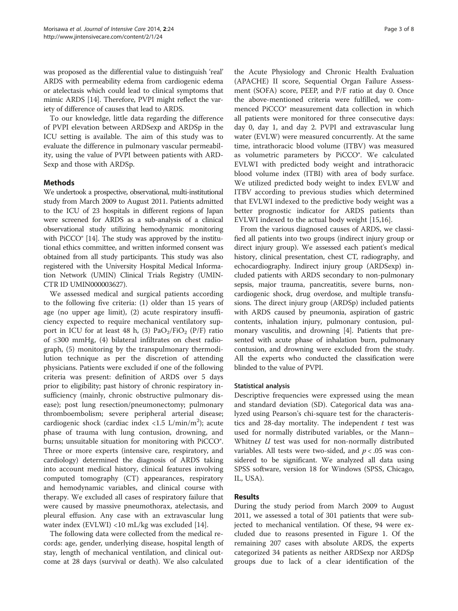was proposed as the differential value to distinguish 'real' ARDS with permeability edema from cardiogenic edema or atelectasis which could lead to clinical symptoms that mimic ARDS [[14](#page-6-0)]. Therefore, PVPI might reflect the variety of difference of causes that lead to ARDS.

To our knowledge, little data regarding the difference of PVPI elevation between ARDSexp and ARDSp in the ICU setting is available. The aim of this study was to evaluate the difference in pulmonary vascular permeability, using the value of PVPI between patients with ARD-Sexp and those with ARDSp.

## Methods

We undertook a prospective, observational, multi-institutional study from March 2009 to August 2011. Patients admitted to the ICU of 23 hospitals in different regions of Japan were screened for ARDS as a sub-analysis of a clinical observational study utilizing hemodynamic monitoring with  $PicCO^{\circ}$  [[14](#page-6-0)]. The study was approved by the institutional ethics committee, and written informed consent was obtained from all study participants. This study was also registered with the University Hospital Medical Information Network (UMIN) Clinical Trials Registry (UMIN-CTR ID UMIN000003627).

We assessed medical and surgical patients according to the following five criteria: (1) older than 15 years of age (no upper age limit), (2) acute respiratory insufficiency expected to require mechanical ventilatory support in ICU for at least 48 h, (3)  $PaO<sub>2</sub>/FiO<sub>2</sub>$  (P/F) ratio of ≤300 mmHg, (4) bilateral infiltrates on chest radiograph, (5) monitoring by the transpulmonary thermodilution technique as per the discretion of attending physicians. Patients were excluded if one of the following criteria was present: definition of ARDS over 5 days prior to eligibility; past history of chronic respiratory insufficiency (mainly, chronic obstructive pulmonary disease); post lung resection/pneumonectomy; pulmonary thromboembolism; severe peripheral arterial disease; cardiogenic shock (cardiac index <1.5 L/min/m<sup>2</sup>); acute phase of trauma with lung contusion, drowning, and burns; unsuitable situation for monitoring with PiCCO®. Three or more experts (intensive care, respiratory, and cardiology) determined the diagnosis of ARDS taking into account medical history, clinical features involving computed tomography (CT) appearances, respiratory and hemodynamic variables, and clinical course with therapy. We excluded all cases of respiratory failure that were caused by massive pneumothorax, atelectasis, and pleural effusion. Any case with an extravascular lung water index (EVLWI) <10 mL/kg was excluded [\[14\]](#page-6-0).

The following data were collected from the medical records: age, gender, underlying disease, hospital length of stay, length of mechanical ventilation, and clinical outcome at 28 days (survival or death). We also calculated

the Acute Physiology and Chronic Health Evaluation (APACHE) II score, Sequential Organ Failure Assessment (SOFA) score, PEEP, and P/F ratio at day 0. Once the above-mentioned criteria were fulfilled, we commenced PiCCO® measurement data collection in which all patients were monitored for three consecutive days: day 0, day 1, and day 2. PVPI and extravascular lung water (EVLW) were measured concurrently. At the same time, intrathoracic blood volume (ITBV) was measured as volumetric parameters by PiCCO®. We calculated EVLWI with predicted body weight and intrathoracic blood volume index (ITBI) with area of body surface. We utilized predicted body weight to index EVLW and ITBV according to previous studies which determined that EVLWI indexed to the predictive body weight was a better prognostic indicator for ARDS patients than EVLWI indexed to the actual body weight [[15,16](#page-7-0)].

From the various diagnosed causes of ARDS, we classified all patients into two groups (indirect injury group or direct injury group). We assessed each patient's medical history, clinical presentation, chest CT, radiography, and echocardiography. Indirect injury group (ARDSexp) included patients with ARDS secondary to non-pulmonary sepsis, major trauma, pancreatitis, severe burns, noncardiogenic shock, drug overdose, and multiple transfusions. The direct injury group (ARDSp) included patients with ARDS caused by pneumonia, aspiration of gastric contents, inhalation injury, pulmonary contusion, pulmonary vasculitis, and drowning [[4\]](#page-6-0). Patients that presented with acute phase of inhalation burn, pulmonary contusion, and drowning were excluded from the study. All the experts who conducted the classification were blinded to the value of PVPI.

### Statistical analysis

Descriptive frequencies were expressed using the mean and standard deviation (SD). Categorical data was analyzed using Pearson's chi-square test for the characteristics and 28-day mortality. The independent  $t$  test was used for normally distributed variables, or the Mann– Whitney *U* test was used for non-normally distributed variables. All tests were two-sided, and  $p < .05$  was considered to be significant. We analyzed all data using SPSS software, version 18 for Windows (SPSS, Chicago, IL, USA).

## Results

During the study period from March 2009 to August 2011, we assessed a total of 301 patients that were subjected to mechanical ventilation. Of these, 94 were excluded due to reasons presented in Figure [1](#page-3-0). Of the remaining 207 cases with absolute ARDS, the experts categorized 34 patients as neither ARDSexp nor ARDSp groups due to lack of a clear identification of the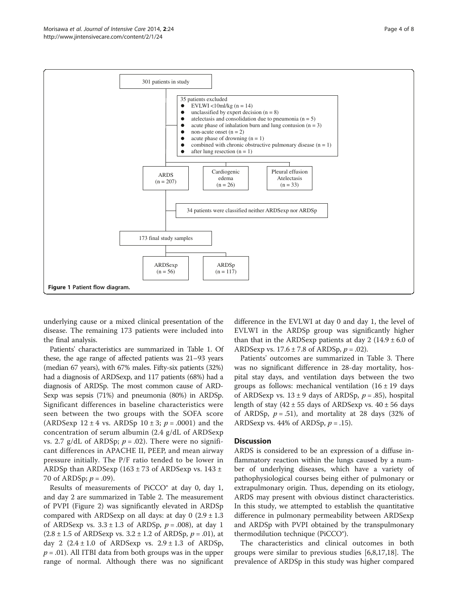<span id="page-3-0"></span>

underlying cause or a mixed clinical presentation of the disease. The remaining 173 patients were included into the final analysis.

Patients' characteristics are summarized in Table [1.](#page-4-0) Of these, the age range of affected patients was 21–93 years (median 67 years), with 67% males. Fifty-six patients (32%) had a diagnosis of ARDSexp, and 117 patients (68%) had a diagnosis of ARDSp. The most common cause of ARD-Sexp was sepsis (71%) and pneumonia (80%) in ARDSp. Significant differences in baseline characteristics were seen between the two groups with the SOFA score (ARDSexp  $12 \pm 4$  vs. ARDSp  $10 \pm 3$ ;  $p = .0001$ ) and the concentration of serum albumin (2.4 g/dL of ARDSexp vs. 2.7 g/dL of ARDSp;  $p = .02$ ). There were no significant differences in APACHE II, PEEP, and mean airway pressure initially. The P/F ratio tended to be lower in ARDSp than ARDSexp (163  $\pm$  73 of ARDSexp vs. 143  $\pm$ 70 of ARDSp;  $p = .09$ ).

Results of measurements of PiCCO® at day 0, day 1, and day 2 are summarized in Table [2](#page-4-0). The measurement of PVPI (Figure [2\)](#page-5-0) was significantly elevated in ARDSp compared with ARDSexp on all days: at day  $0$  (2.9  $\pm$  1.3 of ARDSexp vs.  $3.3 \pm 1.3$  of ARDSp,  $p = .008$ ), at day 1  $(2.8 \pm 1.5 \text{ of ARDS}$ exp vs.  $3.2 \pm 1.2 \text{ of ARDSp}, p = .01)$ , at day 2  $(2.4 \pm 1.0)$  of ARDSexp vs.  $2.9 \pm 1.3$  of ARDSp,  $p = .01$ ). All ITBI data from both groups was in the upper range of normal. Although there was no significant

difference in the EVLWI at day 0 and day 1, the level of EVLWI in the ARDSp group was significantly higher than that in the ARDSexp patients at day 2  $(14.9 \pm 6.0 \text{ of}$ ARDSexp vs.  $17.6 \pm 7.8$  of ARDSp,  $p = .02$ ).

Patients' outcomes are summarized in Table [3](#page-5-0). There was no significant difference in 28-day mortality, hospital stay days, and ventilation days between the two groups as follows: mechanical ventilation  $(16 \pm 19)$  days of ARDSexp vs.  $13 \pm 9$  days of ARDSp,  $p = .85$ ), hospital length of stay  $(42 \pm 55$  days of ARDSexp vs.  $40 \pm 56$  days of ARDSp,  $p = .51$ ), and mortality at 28 days (32% of ARDSexp vs. 44% of ARDSp,  $p = .15$ ).

## **Discussion**

ARDS is considered to be an expression of a diffuse inflammatory reaction within the lungs caused by a number of underlying diseases, which have a variety of pathophysiological courses being either of pulmonary or extrapulmonary origin. Thus, depending on its etiology, ARDS may present with obvious distinct characteristics. In this study, we attempted to establish the quantitative difference in pulmonary permeability between ARDSexp and ARDSp with PVPI obtained by the transpulmonary thermodilution technique (PiCCO®).

The characteristics and clinical outcomes in both groups were similar to previous studies [\[6,8](#page-6-0)[,17,18](#page-7-0)]. The prevalence of ARDSp in this study was higher compared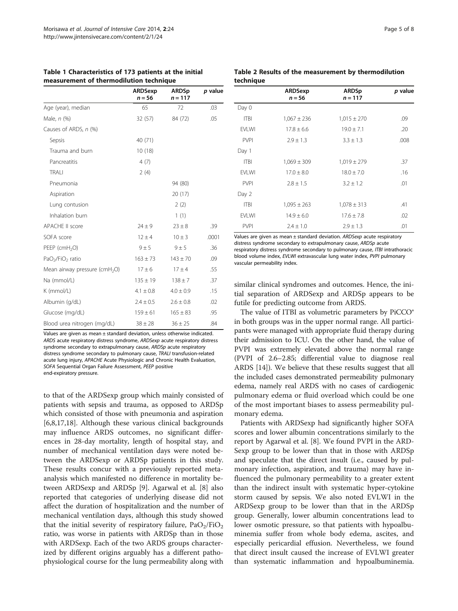|                                           | ARDSexp<br>$n = 56$ | <b>ARDSp</b><br>$n = 117$ | p value |
|-------------------------------------------|---------------------|---------------------------|---------|
| Age (year), median                        | 65                  | 72                        | .03     |
| Male, n (%)                               | 32(57)              | 84 (72)                   | .05     |
| Causes of ARDS, n (%)                     |                     |                           |         |
| Sepsis                                    | 40 (71)             |                           |         |
| Trauma and burn                           | 10(18)              |                           |         |
| Pancreatitis                              | 4(7)                |                           |         |
| <b>TRAII</b>                              | 2(4)                |                           |         |
| Pneumonia                                 |                     | 94 (80)                   |         |
| Aspiration                                |                     | 20 (17)                   |         |
| Lung contusion                            |                     | 2(2)                      |         |
| Inhalation burn                           |                     | 1(1)                      |         |
| <b>APACHE II score</b>                    | $24 \pm 9$          | $23 \pm 8$                | .39     |
| SOFA score                                | $12 \pm 4$          | $10 \pm 3$                | .0001   |
| PEEP (cmH <sub>2</sub> O)                 | $9 \pm 5$           | $9 \pm 5$                 | .36     |
| PaO <sub>2</sub> /FiO <sub>2</sub> ratio  | $163 \pm 73$        | $143 \pm 70$              | .09     |
| Mean airway pressure (cmH <sub>2</sub> O) | $17 \pm 6$          | $17 \pm 4$                | .55     |
| Na (mmol/L)                               | $135 \pm 19$        | $138 \pm 7$               | .37     |
| K (mmol/L)                                | $4.1 \pm 0.8$       | $4.0 \pm 0.9$             | .15     |
| Albumin (g/dL)                            | $2.4 \pm 0.5$       | $2.6 \pm 0.8$             | .02     |
| Glucose (mg/dL)                           | $159 \pm 61$        | $165 \pm 83$              | .95     |
| Blood urea nitrogen (mg/dL)               | $38 \pm 28$         | $36 \pm 25$               | .84     |

<span id="page-4-0"></span>Table 1 Characteristics of 173 patients at the initial measurement of thermodilution technique

Values are given as mean ± standard deviation, unless otherwise indicated. ARDS acute respiratory distress syndrome, ARDSexp acute respiratory distress syndrome secondary to extrapulmonary cause. ARDSp acute respiratory distress syndrome secondary to pulmonary cause, TRALI transfusion-related acute lung injury, APACHE Acute Physiologic and Chronic Health Evaluation, SOFA Sequential Organ Failure Assessment, PEEP positive end-expiratory pressure.

to that of the ARDSexp group which mainly consisted of patients with sepsis and trauma, as opposed to ARDSp which consisted of those with pneumonia and aspiration [[6,8,](#page-6-0)[17,18\]](#page-7-0). Although these various clinical backgrounds may influence ARDS outcomes, no significant differences in 28-day mortality, length of hospital stay, and number of mechanical ventilation days were noted between the ARDSexp or ARDSp patients in this study. These results concur with a previously reported metaanalysis which manifested no difference in mortality between ARDSexp and ARDSp [\[9](#page-6-0)]. Agarwal et al. [[8\]](#page-6-0) also reported that categories of underlying disease did not affect the duration of hospitalization and the number of mechanical ventilation days, although this study showed that the initial severity of respiratory failure,  $PaO<sub>2</sub>/FiO<sub>2</sub>$ ratio, was worse in patients with ARDSp than in those with ARDSexp. Each of the two ARDS groups characterized by different origins arguably has a different pathophysiological course for the lung permeability along with

### Table 2 Results of the measurement by thermodilution technique

|             | ARDSexp<br>$n = 56$ | <b>ARDSp</b><br>$n = 117$ | p value |
|-------------|---------------------|---------------------------|---------|
| Day 0       |                     |                           |         |
| <b>ITBI</b> | $1,067 \pm 236$     | $1,015 \pm 270$           | .09     |
| FVI WI      | $17.8 \pm 6.6$      | $19.0 \pm 7.1$            | .20     |
| <b>PVPI</b> | $2.9 \pm 1.3$       | $3.3 \pm 1.3$             | .008    |
| Day 1       |                     |                           |         |
| <b>ITBI</b> | $1,069 \pm 309$     | $1,019 \pm 279$           | .37     |
| FVI WI      | $17.0 + 8.0$        | $18.0 + 7.0$              | .16     |
| <b>PVPI</b> | $2.8 \pm 1.5$       | $3.2 \pm 1.2$             | .01     |
| Day 2       |                     |                           |         |
| <b>ITBI</b> | $1,095 \pm 263$     | $1,078 \pm 313$           | .41     |
| FVI WI      | $14.9 \pm 6.0$      | $17.6 + 7.8$              | .02     |
| <b>PVPI</b> | $2.4 \pm 1.0$       | $2.9 \pm 1.3$             | .01     |

Values are given as mean ± standard deviation. ARDSexp acute respiratory distress syndrome secondary to extrapulmonary cause, ARDSp acute respiratory distress syndrome secondary to pulmonary cause, ITBI intrathoracic blood volume index, EVLWI extravascular lung water index, PVPI pulmonary vascular permeability index.

similar clinical syndromes and outcomes. Hence, the initial separation of ARDSexp and ARDSp appears to be futile for predicting outcome from ARDS.

The value of ITBI as volumetric parameters by PiCCO® in both groups was in the upper normal range. All participants were managed with appropriate fluid therapy during their admission to ICU. On the other hand, the value of PVPI was extremely elevated above the normal range (PVPI of 2.6–2.85; differential value to diagnose real ARDS [[14\]](#page-6-0)). We believe that these results suggest that all the included cases demonstrated permeability pulmonary edema, namely real ARDS with no cases of cardiogenic pulmonary edema or fluid overload which could be one of the most important biases to assess permeability pulmonary edema.

Patients with ARDSexp had significantly higher SOFA scores and lower albumin concentrations similarly to the report by Agarwal et al. [\[8](#page-6-0)]. We found PVPI in the ARD-Sexp group to be lower than that in those with ARDSp and speculate that the direct insult (i.e., caused by pulmonary infection, aspiration, and trauma) may have influenced the pulmonary permeability to a greater extent than the indirect insult with systematic hyper-cytokine storm caused by sepsis. We also noted EVLWI in the ARDSexp group to be lower than that in the ARDSp group. Generally, lower albumin concentrations lead to lower osmotic pressure, so that patients with hypoalbuminemia suffer from whole body edema, ascites, and especially pericardial effusion. Nevertheless, we found that direct insult caused the increase of EVLWI greater than systematic inflammation and hypoalbuminemia.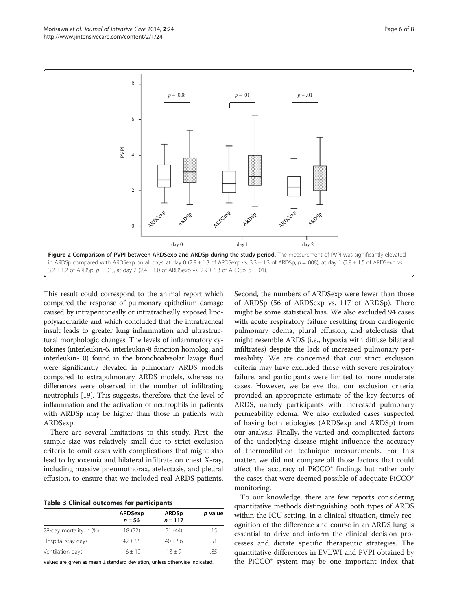<span id="page-5-0"></span>

This result could correspond to the animal report which compared the response of pulmonary epithelium damage caused by intraperitoneally or intratracheally exposed lipopolysaccharide and which concluded that the intratracheal insult leads to greater lung inflammation and ultrastructural morphologic changes. The levels of inflammatory cytokines (interleukin-6, interleukin-8 function homolog, and interleukin-10) found in the bronchoalveolar lavage fluid were significantly elevated in pulmonary ARDS models compared to extrapulmonary ARDS models, whereas no differences were observed in the number of infiltrating neutrophils [\[19\]](#page-7-0). This suggests, therefore, that the level of inflammation and the activation of neutrophils in patients with ARDSp may be higher than those in patients with ARDSexp.

There are several limitations to this study. First, the sample size was relatively small due to strict exclusion criteria to omit cases with complications that might also lead to hypoxemia and bilateral infiltrate on chest X-ray, including massive pneumothorax, atelectasis, and pleural effusion, to ensure that we included real ARDS patients.

|                         | <b>ARDSexp</b><br>$n = 56$ | <b>ARDSp</b><br>$n = 117$ | p value |
|-------------------------|----------------------------|---------------------------|---------|
| 28-day mortality, n (%) | 18 (32)                    | 51(44)                    | .15     |
| Hospital stay days      | $42 + 55$                  | $40 + 56$                 | .51     |
| Ventilation days        | $16 + 19$                  | $13 + 9$                  | .85     |

Values are given as mean ± standard deviation, unless otherwise indicated.

Second, the numbers of ARDSexp were fewer than those of ARDSp (56 of ARDSexp vs. 117 of ARDSp). There might be some statistical bias. We also excluded 94 cases with acute respiratory failure resulting from cardiogenic pulmonary edema, plural effusion, and atelectasis that might resemble ARDS (i.e., hypoxia with diffuse bilateral infiltrates) despite the lack of increased pulmonary permeability. We are concerned that our strict exclusion criteria may have excluded those with severe respiratory failure, and participants were limited to more moderate cases. However, we believe that our exclusion criteria provided an appropriate estimate of the key features of ARDS, namely participants with increased pulmonary permeability edema. We also excluded cases suspected of having both etiologies (ARDSexp and ARDSp) from our analysis. Finally, the varied and complicated factors of the underlying disease might influence the accuracy of thermodilution technique measurements. For this matter, we did not compare all those factors that could affect the accuracy of PiCCO® findings but rather only the cases that were deemed possible of adequate PiCCO® monitoring.

To our knowledge, there are few reports considering quantitative methods distinguishing both types of ARDS within the ICU setting. In a clinical situation, timely recognition of the difference and course in an ARDS lung is essential to drive and inform the clinical decision processes and dictate specific therapeutic strategies. The quantitative differences in EVLWI and PVPI obtained by the PiCCO® system may be one important index that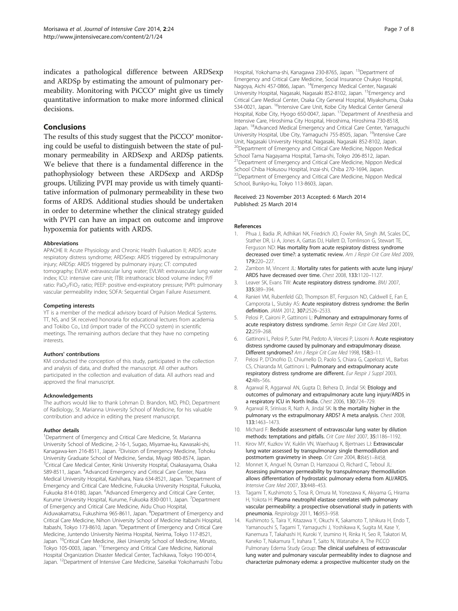<span id="page-6-0"></span>indicates a pathological difference between ARDSexp and ARDSp by estimating the amount of pulmonary permeability. Monitoring with PiCCO® might give us timely quantitative information to make more informed clinical decisions.

## Conclusions

The results of this study suggest that the PiCCO® monitoring could be useful to distinguish between the state of pulmonary permeability in ARDSexp and ARDSp patients. We believe that there is a fundamental difference in the pathophysiology between these ARDSexp and ARDSp groups. Utilizing PVPI may provide us with timely quantitative information of pulmonary permeability in these two forms of ARDS. Additional studies should be undertaken in order to determine whether the clinical strategy guided with PVPI can have an impact on outcome and improve hypoxemia for patients with ARDS.

#### Abbreviations

APACHE II: Acute Physiology and Chronic Health Evaluation II; ARDS: acute respiratory distress syndrome; ARDSexp: ARDS triggered by extrapulmonary injury; ARDSp: ARDS triggered by pulmonary injury; CT: computed tomography; EVLW: extravascular lung water; EVLWI: extravascular lung water index; ICU: intensive care unit; ITBI: intrathoracic blood volume index; P/F ratio: PaO<sub>2</sub>/FiO<sub>2</sub> ratio; PEEP: positive end-expiratory pressure; PVPI: pulmonary vascular permeability index; SOFA: Sequential Organ Failure Assessment.

#### Competing interests

YT is a member of the medical advisory board of Pulsion Medical Systems. TT, NS, and SK received honoraria for educational lectures from academia and Tokibo Co., Ltd (import trader of the PiCCO system) in scientific meetings. The remaining authors declare that they have no competing interests.

#### Authors' contributions

KM conducted the conception of this study, participated in the collection and analysis of data, and drafted the manuscript. All other authors participated in the collection and evaluation of data. All authors read and approved the final manuscript.

#### Acknowledgements

The authors would like to thank Lohman D. Brandon, MD, PhD, Department of Radiology, St. Marianna University School of Medicine, for his valuable contribution and advice in editing the present manuscript.

#### Author details

<sup>1</sup>Department of Emergency and Critical Care Medicine, St. Marianna University School of Medicine, 2-16-1, Sugao, Miyamae-ku, Kawasaki-shi, Kanagawa-ken 216-8511, Japan. <sup>2</sup>Division of Emergency Medicine, Tohoku University Graduate School of Medicine, Sendai, Miyagi 980-8574, Japan. <sup>3</sup>Critical Care Medical Center, Kinki University Hospital, Osakasayama, Osaka 589-8511, Japan. <sup>4</sup>Advanced Emergency and Critical Care Center, Nara Medical University Hospital, Kashihara, Nara 634-8521, Japan. <sup>5</sup>Department of Emergency and Critical Care Medicine, Fukuoka University Hospital, Fukuoka, Fukuoka 814-0180, Japan. <sup>6</sup>Advanced Emergency and Critical Care Center, Kurume University Hospital, Kurume, Fukuoka 830-0011, Japan. <sup>7</sup>Department of Emergency and Critical Care Medicine, Aidu Chuo Hospital, Aiduwakamatsu, Fukushima 965-8611, Japan. <sup>8</sup>Department of Emergency and Critical Care Medicine, Nihon University School of Medicine Itabashi Hospital, Itabashi, Tokyo 173-8610, Japan. <sup>9</sup>Department of Emergency and Critical Care Medicine, Juntendo University Nerima Hospital, Nerima, Tokyo 117-8521, Japan. <sup>10</sup>Critical Care Medicine, Jikei University School of Medicine, Minato, Tokyo 105-0003, Japan. 11Emergency and Critical Care Medicine, National Hospital Organization Disaster Medical Center, Tachikawa, Tokyo 190-0014, Japan. <sup>12</sup>Department of Intensive Care Medicine, Saiseikai Yokohamashi Tobu

Hospital, Yokohama-shi, Kanagawa 230-8765, Japan. <sup>13</sup>Department of Emergency and Critical Care Medicine, Social Insurance Chukyo Hospital, Nagoya, Aichi 457-0866, Japan. 14Emergency Medical Center, Nagasaki University Hospital, Nagasaki, Nagasaki 852-8102, Japan. 15Emergency and Critical Care Medical Center, Osaka City General Hospital, Miyakohuma, Osaka 534-0021, Japan. <sup>16</sup>Intensive Care Unit, Kobe City Medical Center General Hospital, Kobe City, Hyogo 650-0047, Japan. <sup>17</sup> Department of Anesthesia and Intensive Care, Hiroshima City Hospital, Hiroshima, Hiroshima 730-8518, Japan. <sup>18</sup>Advanced Medical Emergency and Critical Care Center, Yamaguchi University Hospital, Ube City, Yamaguchi 755-8505, Japan. <sup>19</sup>Intensive Care Unit, Nagasaki University Hospital, Nagasaki, Nagasaki 852-8102, Japan. <sup>20</sup>Department of Emergency and Critical Care Medicine, Nippon Medical School Tama Nagayama Hospital, Tama-shi, Tokyo 206-8512, Japan. <sup>21</sup>Department of Emergency and Critical Care Medicine, Nippon Medical School Chiba Hokusou Hospital, Inzai-shi, Chiba 270-1694, Japan. <sup>22</sup>Department of Emergency and Critical Care Medicine, Nippon Medical School, Bunkyo-ku, Tokyo 113-8603, Japan.

#### Received: 23 November 2013 Accepted: 6 March 2014 Published: 25 March 2014

#### References

- 1. Phua J, Badia JR, Adhikari NK, Friedrich JO, Fowler RA, Singh JM, Scales DC, Stather DR, Li A, Jones A, Gattas DJ, Hallett D, Tomlinson G, Stewart TE, Ferguson ND: Has mortality from acute respiratory distress syndrome decreased over time?: a systematic review. Am J Respir Crit Care Med 2009, 179:220–227.
- 2. Zambon M, Vincent JL: Mortality rates for patients with acute lung injury/ ARDS have decreased over time. Chest 2008, 133:1120–1127.
- 3. Leaver SK, Evans TW: Acute respiratory distress syndrome. BMJ 2007, 335:389–394.
- 4. Ranieri VM, Rubenfeld GD, Thompson BT, Ferguson ND, Caldwell E, Fan E, Camporota L, Slutsky AS: Acute respiratory distress syndrome: the Berlin definition. JAMA 2012, 307:2526–2533.
- Pelosi P, Caironi P, Gattinoni L: Pulmonary and extrapulmonary forms of acute respiratory distress syndrome. Semin Respir Crit Care Med 2001, 22:259–268.
- 6. Gattinoni L, Pelosi P, Suter PM, Pedoto A, Vercesi P, Lissoni A: Acute respiratory distress syndrome caused by pulmonary and extrapulmonary disease. Different syndromes? Am J Respir Crit Care Med 1998, 158:3–11.
- 7. Pelosi P, D'Onofrio D, Chiumello D, Paolo S, Chiara G, Capelozzi VL, Barbas CS, Chiaranda M, Gattinoni L: Pulmonary and extrapulmonary acute respiratory distress syndrome are different. Eur Respir J Suppl 2003, 42:48s–56s.
- Agarwal R, Aggarwal AN, Gupta D, Behera D, Jindal SK: Etiology and outcomes of pulmonary and extrapulmonary acute lung injury/ARDS in a respiratory ICU in North India. Chest 2006, 130:724–729.
- 9. Agarwal R, Srinivas R, Nath A, Jindal SK: Is the mortality higher in the pulmonary vs the extrapulmonary ARDS? A meta analysis. Chest 2008, 133:1463–1473.
- 10. Michard F: Bedside assessment of extravascular lung water by dilution methods: temptations and pitfalls. Crit Care Med 2007, 35:1186–1192.
- 11. Kirov MY, Kuzkov W, Kuklin VN, Waerhaug K, Bjertnaes LJ: Extravascular lung water assessed by transpulmonary single thermodilution and postmortem gravimetry in sheep. Crit Care 2004, 8:R451–R458.
- 12. Monnet X, Anguel N, Osman D, Hamzaoui O, Richard C, Teboul JL: Assessing pulmonary permeability by transpulmonary thermodilution allows differentiation of hydrostatic pulmonary edema from ALI/ARDS. Intensive Care Med 2007, 33:448–453.
- 13. Tagami T, Kushimoto S, Tosa R, Omura M, Yonezawa K, Akiyama G, Hirama H, Yokota H: Plasma neutrophil elastase correlates with pulmonary vascular permeability: a prospective observational study in patients with pneumonia. Respirology 2011, 16:953–958.
- 14. Kushimoto S, Taira Y, Kitazawa Y, Okuchi K, Sakamoto T, Ishikura H, Endo T, Yamanouchi S, Tagami T, Yamaguchi J, Yoshikawa K, Sugita M, Kase Y, Kanemura T, Takahashi H, Kuroki Y, Izumino H, Rinka H, Seo R, Takatori M, Kaneko T, Nakamura T, Irahara T, Saito N, Watanabe A, The PiCCO Pulmonary Edema Study Group: The clinical usefulness of extravascular lung water and pulmonary vascular permeability index to diagnose and characterize pulmonary edema: a prospective multicenter study on the